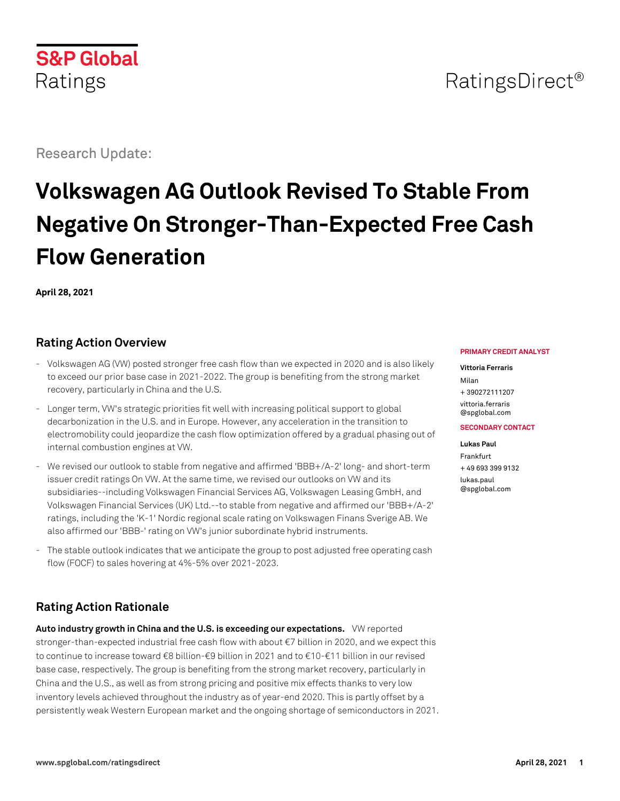# **S&P Global** Ratings

Research Update:

# **Volkswagen AG Outlook Revised To Stable From Negative On Stronger-Than-Expected Free Cash Flow Generation**

**April 28, 2021**

# **Rating Action Overview**

- Volkswagen AG (VW) posted stronger free cash flow than we expected in 2020 and is also likely to exceed our prior base case in 2021-2022. The group is benefiting from the strong market recovery, particularly in China and the U.S.
- Longer term, VW's strategic priorities fit well with increasing political support to global decarbonization in the U.S. and in Europe. However, any acceleration in the transition to electromobility could jeopardize the cash flow optimization offered by a gradual phasing out of internal combustion engines at VW.
- We revised our outlook to stable from negative and affirmed 'BBB+/A-2' long- and short-term issuer credit ratings On VW. At the same time, we revised our outlooks on VW and its subsidiaries--including Volkswagen Financial Services AG, Volkswagen Leasing GmbH, and Volkswagen Financial Services (UK) Ltd.--to stable from negative and affirmed our 'BBB+/A-2' ratings, including the 'K-1' Nordic regional scale rating on Volkswagen Finans Sverige AB. We also affirmed our 'BBB-' rating on VW's junior subordinate hybrid instruments.
- The stable outlook indicates that we anticipate the group to post adjusted free operating cash flow (FOCF) to sales hovering at 4%-5% over 2021-2023.

# **Rating Action Rationale**

**Auto industry growth in China and the U.S. is exceeding our expectations.** VW reported stronger-than-expected industrial free cash flow with about €7 billion in 2020, and we expect this to continue to increase toward €8 billion-€9 billion in 2021 and to €10-€11 billion in our revised base case, respectively. The group is benefiting from the strong market recovery, particularly in China and the U.S., as well as from strong pricing and positive mix effects thanks to very low inventory levels achieved throughout the industry as of year-end 2020. This is partly offset by a persistently weak Western European market and the ongoing shortage of semiconductors in 2021.

#### **PRIMARY CREDIT ANALYST**

#### **Vittoria Ferraris**

Milan + 390272111207 [vittoria.ferraris](mailto:vittoria.ferraris@spglobal.com) [@spglobal.com](mailto:vittoria.ferraris@spglobal.com)

#### **SECONDARY CONTACT**

**Lukas Paul** Frankfurt + 49 693 399 9132 [lukas.paul](mailto:lukas.paul@spglobal.com) [@spglobal.com](mailto:lukas.paul@spglobal.com)

# RatingsDirect<sup>®</sup>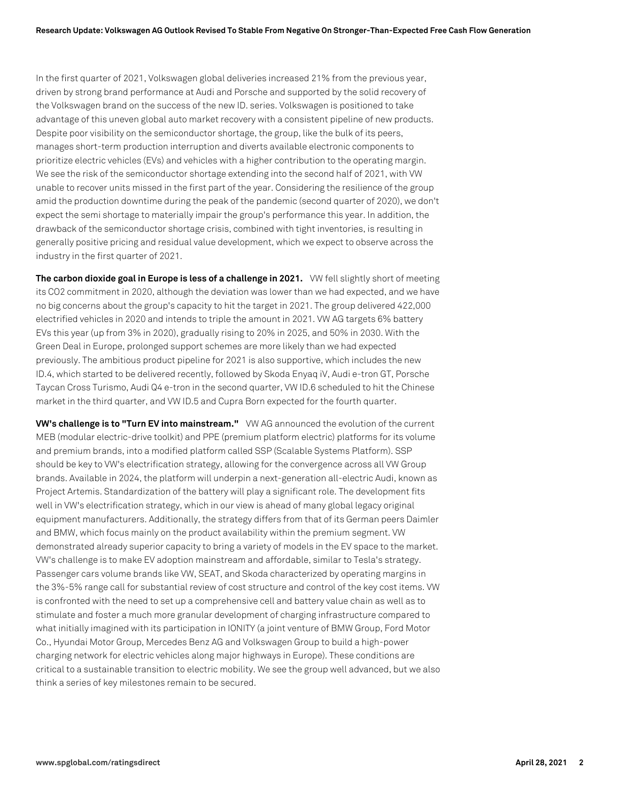In the first quarter of 2021, Volkswagen global deliveries increased 21% from the previous year, driven by strong brand performance at Audi and Porsche and supported by the solid recovery of the Volkswagen brand on the success of the new ID. series. Volkswagen is positioned to take advantage of this uneven global auto market recovery with a consistent pipeline of new products. Despite poor visibility on the semiconductor shortage, the group, like the bulk of its peers, manages short-term production interruption and diverts available electronic components to prioritize electric vehicles (EVs) and vehicles with a higher contribution to the operating margin. We see the risk of the semiconductor shortage extending into the second half of 2021, with VW unable to recover units missed in the first part of the year. Considering the resilience of the group amid the production downtime during the peak of the pandemic (second quarter of 2020), we don't expect the semi shortage to materially impair the group's performance this year. In addition, the drawback of the semiconductor shortage crisis, combined with tight inventories, is resulting in generally positive pricing and residual value development, which we expect to observe across the industry in the first quarter of 2021.

**The carbon dioxide goal in Europe is less of a challenge in 2021.** VW fell slightly short of meeting its CO2 commitment in 2020, although the deviation was lower than we had expected, and we have no big concerns about the group's capacity to hit the target in 2021. The group delivered 422,000 electrified vehicles in 2020 and intends to triple the amount in 2021. VW AG targets 6% battery EVs this year (up from 3% in 2020), gradually rising to 20% in 2025, and 50% in 2030. With the Green Deal in Europe, prolonged support schemes are more likely than we had expected previously. The ambitious product pipeline for 2021 is also supportive, which includes the new ID.4, which started to be delivered recently, followed by Skoda Enyaq iV, Audi e-tron GT, Porsche Taycan Cross Turismo, Audi Q4 e-tron in the second quarter, VW ID.6 scheduled to hit the Chinese market in the third quarter, and VW ID.5 and Cupra Born expected for the fourth quarter.

**VW's challenge is to "Turn EV into mainstream."** VW AG announced the evolution of the current MEB (modular electric-drive toolkit) and PPE (premium platform electric) platforms for its volume and premium brands, into a modified platform called SSP (Scalable Systems Platform). SSP should be key to VW's electrification strategy, allowing for the convergence across all VW Group brands. Available in 2024, the platform will underpin a next-generation all-electric Audi, known as Project Artemis. Standardization of the battery will play a significant role. The development fits well in VW's electrification strategy, which in our view is ahead of many global legacy original equipment manufacturers. Additionally, the strategy differs from that of its German peers Daimler and BMW, which focus mainly on the product availability within the premium segment. VW demonstrated already superior capacity to bring a variety of models in the EV space to the market. VW's challenge is to make EV adoption mainstream and affordable, similar to Tesla's strategy. Passenger cars volume brands like VW, SEAT, and Skoda characterized by operating margins in the 3%-5% range call for substantial review of cost structure and control of the key cost items. VW is confronted with the need to set up a comprehensive cell and battery value chain as well as to stimulate and foster a much more granular development of charging infrastructure compared to what initially imagined with its participation in IONITY (a joint venture of BMW Group, Ford Motor Co., Hyundai Motor Group, Mercedes Benz AG and Volkswagen Group to build a high-power charging network for electric vehicles along major highways in Europe). These conditions are critical to a sustainable transition to electric mobility. We see the group well advanced, but we also think a series of key milestones remain to be secured.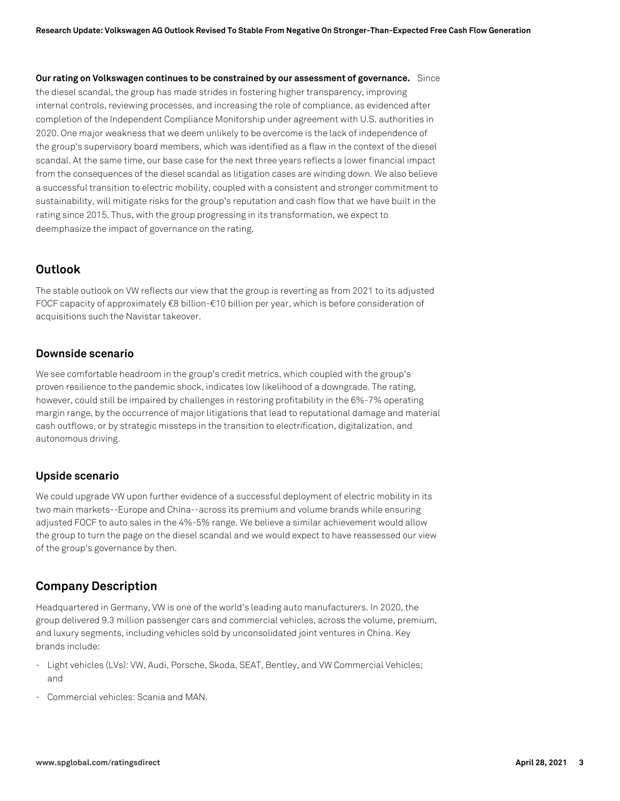**Our rating on Volkswagen continues to be constrained by our assessment of governance.** Since the diesel scandal, the group has made strides in fostering higher transparency, improving internal controls, reviewing processes, and increasing the role of compliance, as evidenced after completion of the Independent Compliance Monitorship under agreement with U.S. authorities in 2020. One major weakness that we deem unlikely to be overcome is the lack of independence of the group's supervisory board members, which was identified as a flaw in the context of the diesel scandal. At the same time, our base case for the next three years reflects a lower financial impact from the consequences of the diesel scandal as litigation cases are winding down. We also believe a successful transition to electric mobility, coupled with a consistent and stronger commitment to sustainability, will mitigate risks for the group's reputation and cash flow that we have built in the rating since 2015. Thus, with the group progressing in its transformation, we expect to deemphasize the impact of governance on the rating.

# **Outlook**

The stable outlook on VW reflects our view that the group is reverting as from 2021 to its adjusted FOCF capacity of approximately €8 billion-€10 billion per year, which is before consideration of acquisitions such the Navistar takeover.

#### **Downside scenario**

We see comfortable headroom in the group's credit metrics, which coupled with the group's proven resilience to the pandemic shock, indicates low likelihood of a downgrade. The rating, however, could still be impaired by challenges in restoring profitability in the 6%-7% operating margin range, by the occurrence of major litigations that lead to reputational damage and material cash outflows, or by strategic missteps in the transition to electrification, digitalization, and autonomous driving.

#### **Upside scenario**

We could upgrade VW upon further evidence of a successful deployment of electric mobility in its two main markets--Europe and China--across its premium and volume brands while ensuring adjusted FOCF to auto sales in the 4%-5% range. We believe a similar achievement would allow the group to turn the page on the diesel scandal and we would expect to have reassessed our view of the group's governance by then.

# **Company Description**

Headquartered in Germany, VW is one of the world's leading auto manufacturers. In 2020, the group delivered 9.3 million passenger cars and commercial vehicles, across the volume, premium, and luxury segments, including vehicles sold by unconsolidated joint ventures in China. Key brands include:

- Light vehicles (LVs): VW, Audi, Porsche, Skoda, SEAT, Bentley, and VW Commercial Vehicles; and
- Commercial vehicles: Scania and MAN.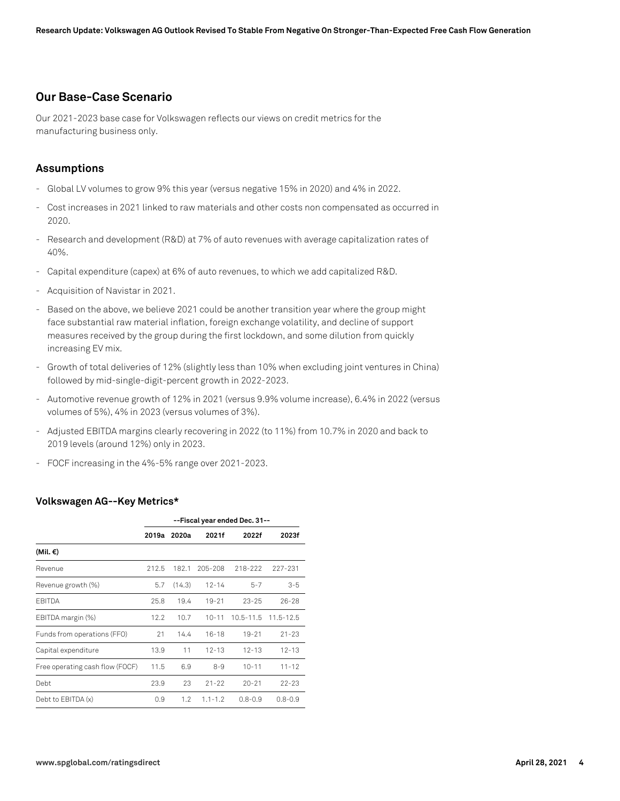# **Our Base-Case Scenario**

Our 2021-2023 base case for Volkswagen reflects our views on credit metrics for the manufacturing business only.

#### **Assumptions**

- Global LV volumes to grow 9% this year (versus negative 15% in 2020) and 4% in 2022.
- Cost increases in 2021 linked to raw materials and other costs non compensated as occurred in 2020.
- Research and development (R&D) at 7% of auto revenues with average capitalization rates of 40%.
- Capital expenditure (capex) at 6% of auto revenues, to which we add capitalized R&D.
- Acquisition of Navistar in 2021.
- Based on the above, we believe 2021 could be another transition year where the group might face substantial raw material inflation, foreign exchange volatility, and decline of support measures received by the group during the first lockdown, and some dilution from quickly increasing EV mix.
- Growth of total deliveries of 12% (slightly less than 10% when excluding joint ventures in China) followed by mid-single-digit-percent growth in 2022-2023.
- Automotive revenue growth of 12% in 2021 (versus 9.9% volume increase), 6.4% in 2022 (versus volumes of 5%), 4% in 2023 (versus volumes of 3%).
- Adjusted EBITDA margins clearly recovering in 2022 (to 11%) from 10.7% in 2020 and back to 2019 levels (around 12%) only in 2023.
- FOCF increasing in the 4%-5% range over 2021-2023.

#### **Volkswagen AG--Key Metrics\***

|                                 | --Fiscal year ended Dec. 31-- |        |             |               |               |
|---------------------------------|-------------------------------|--------|-------------|---------------|---------------|
|                                 | 2019a                         | 2020a  | 2021f       | 2022f         | 2023f         |
| (Mil. €)                        |                               |        |             |               |               |
| Revenue                         | 212.5                         | 182.1  | 205-208     | 218-222       | 227-231       |
| Revenue growth (%)              | 5.7                           | (14.3) | $12 - 14$   | $5 - 7$       | $3 - 5$       |
| <b>EBITDA</b>                   | 25.8                          | 19.4   | $19 - 21$   | $23 - 25$     | $26 - 28$     |
| EBITDA margin (%)               | 12.2                          | 10.7   | $10 - 11$   | $10.5 - 11.5$ | $11.5 - 12.5$ |
| Funds from operations (FFO)     | 21                            | 14.4   | $16-18$     | $19 - 21$     | $21 - 23$     |
| Capital expenditure             | 13.9                          | 11     | $12 - 13$   | $12 - 13$     | $12 - 13$     |
| Free operating cash flow (FOCF) | 11.5                          | 6.9    | $8 - 9$     | $10 - 11$     | $11 - 12$     |
| Debt                            | 23.9                          | 23     | $21 - 22$   | $20 - 21$     | $22 - 23$     |
| Debt to EBITDA (x)              | 0.9                           | 1.2    | $1.1 - 1.2$ | $0.8 - 0.9$   | $0.8 - 0.9$   |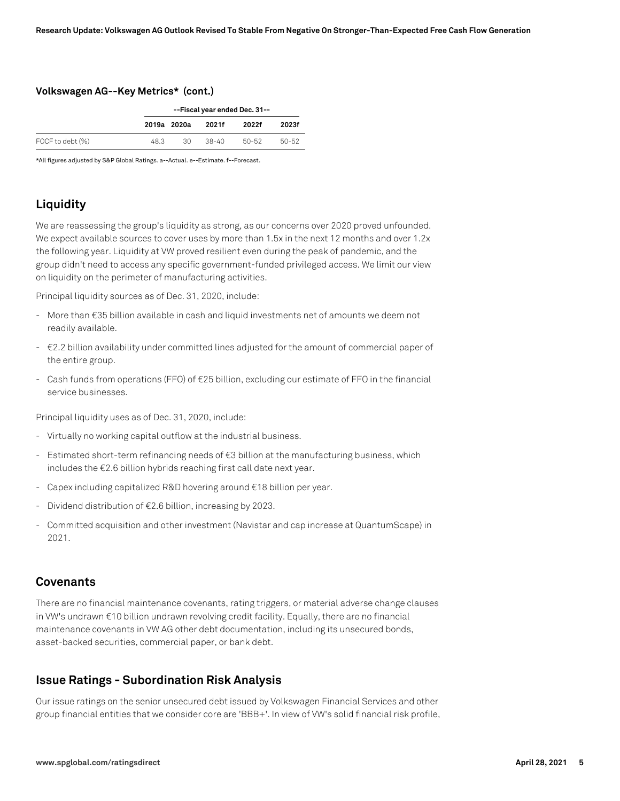#### **Volkswagen AG--Key Metrics\* (cont.)**

|                  | --Fiscal year ended Dec. 31-- |             |           |       |       |
|------------------|-------------------------------|-------------|-----------|-------|-------|
|                  |                               | 2019a 2020a | 2021f     | 2022f | 2023f |
| FOCF to debt (%) | 48.3                          | 30          | $38 - 40$ | 50-52 | 50-52 |

\*All figures adjusted by S&P Global Ratings. a--Actual. e--Estimate. f--Forecast.

# **Liquidity**

We are reassessing the group's liquidity as strong, as our concerns over 2020 proved unfounded. We expect available sources to cover uses by more than 1.5x in the next 12 months and over 1.2x the following year. Liquidity at VW proved resilient even during the peak of pandemic, and the group didn't need to access any specific government-funded privileged access. We limit our view on liquidity on the perimeter of manufacturing activities.

Principal liquidity sources as of Dec. 31, 2020, include:

- More than €35 billion available in cash and liquid investments net of amounts we deem not readily available.
- €2.2 billion availability under committed lines adjusted for the amount of commercial paper of the entire group.
- Cash funds from operations (FFO) of €25 billion, excluding our estimate of FFO in the financial service businesses.

Principal liquidity uses as of Dec. 31, 2020, include:

- Virtually no working capital outflow at the industrial business.
- Estimated short-term refinancing needs of €3 billion at the manufacturing business, which includes the €2.6 billion hybrids reaching first call date next year.
- Capex including capitalized R&D hovering around €18 billion per year.
- Dividend distribution of  $E2.6$  billion, increasing by 2023.
- Committed acquisition and other investment (Navistar and cap increase at QuantumScape) in 2021.

#### **Covenants**

There are no financial maintenance covenants, rating triggers, or material adverse change clauses in VW's undrawn €10 billion undrawn revolving credit facility. Equally, there are no financial maintenance covenants in VW AG other debt documentation, including its unsecured bonds, asset-backed securities, commercial paper, or bank debt.

### **Issue Ratings - Subordination Risk Analysis**

Our issue ratings on the senior unsecured debt issued by Volkswagen Financial Services and other group financial entities that we consider core are 'BBB+'. In view of VW's solid financial risk profile,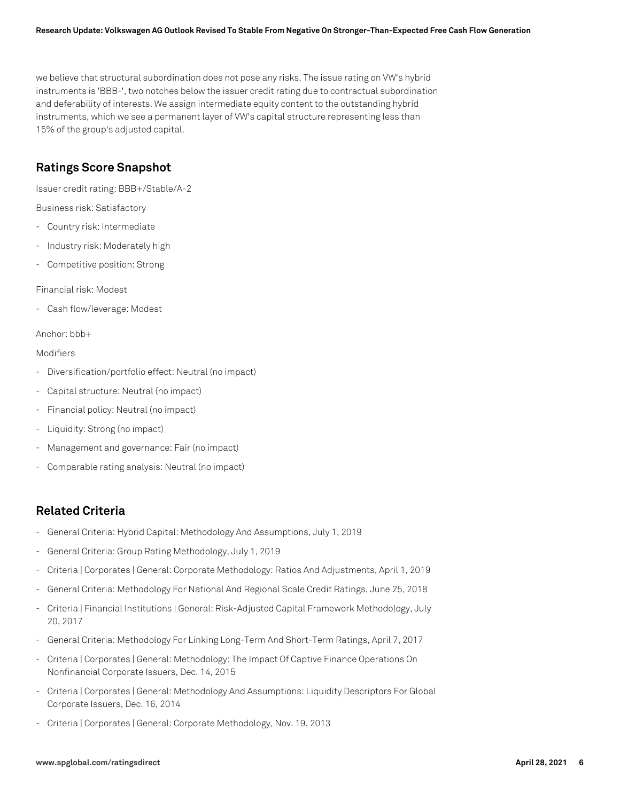we believe that structural subordination does not pose any risks. The issue rating on VW's hybrid instruments is 'BBB-', two notches below the issuer credit rating due to contractual subordination and deferability of interests. We assign intermediate equity content to the outstanding hybrid instruments, which we see a permanent layer of VW's capital structure representing less than 15% of the group's adjusted capital.

# **Ratings Score Snapshot**

Issuer credit rating: BBB+/Stable/A-2

Business risk: Satisfactory

- Country risk: Intermediate
- Industry risk: Moderately high
- Competitive position: Strong

Financial risk: Modest

- Cash flow/leverage: Modest

#### Anchor: bbb+

#### Modifiers

- Diversification/portfolio effect: Neutral (no impact)
- Capital structure: Neutral (no impact)
- Financial policy: Neutral (no impact)
- Liquidity: Strong (no impact)
- Management and governance: Fair (no impact)
- Comparable rating analysis: Neutral (no impact)

#### **Related Criteria**

- General Criteria: Hybrid Capital: Methodology And Assumptions, July 1, 2019
- General Criteria: Group Rating Methodology, July 1, 2019
- Criteria | Corporates | General: Corporate Methodology: Ratios And Adjustments, April 1, 2019
- General Criteria: Methodology For National And Regional Scale Credit Ratings, June 25, 2018
- Criteria | Financial Institutions | General: Risk-Adjusted Capital Framework Methodology, July 20, 2017
- General Criteria: Methodology For Linking Long-Term And Short-Term Ratings, April 7, 2017
- Criteria | Corporates | General: Methodology: The Impact Of Captive Finance Operations On Nonfinancial Corporate Issuers, Dec. 14, 2015
- Criteria | Corporates | General: Methodology And Assumptions: Liquidity Descriptors For Global Corporate Issuers, Dec. 16, 2014
- Criteria | Corporates | General: Corporate Methodology, Nov. 19, 2013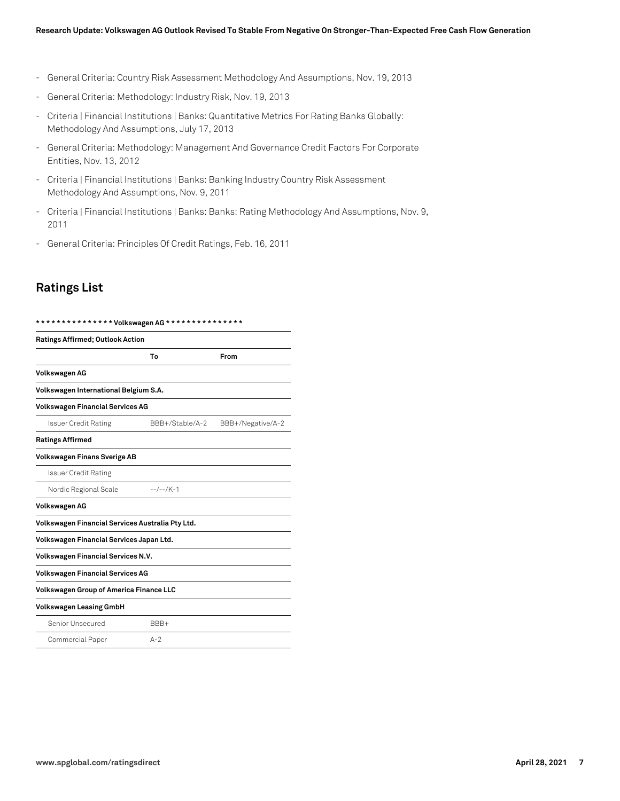- General Criteria: Country Risk Assessment Methodology And Assumptions, Nov. 19, 2013
- General Criteria: Methodology: Industry Risk, Nov. 19, 2013
- Criteria | Financial Institutions | Banks: Quantitative Metrics For Rating Banks Globally: Methodology And Assumptions, July 17, 2013
- General Criteria: Methodology: Management And Governance Credit Factors For Corporate Entities, Nov. 13, 2012
- Criteria | Financial Institutions | Banks: Banking Industry Country Risk Assessment Methodology And Assumptions, Nov. 9, 2011
- Criteria | Financial Institutions | Banks: Banks: Rating Methodology And Assumptions, Nov. 9, 2011
- General Criteria: Principles Of Credit Ratings, Feb. 16, 2011

#### **Ratings List**

| <b>Ratings Affirmed; Outlook Action</b>          |                 |                   |  |  |  |
|--------------------------------------------------|-----------------|-------------------|--|--|--|
|                                                  | To              | From              |  |  |  |
| Volkswagen AG                                    |                 |                   |  |  |  |
| Volkswagen International Belgium S.A.            |                 |                   |  |  |  |
| <b>Volkswagen Financial Services AG</b>          |                 |                   |  |  |  |
| <b>Issuer Credit Rating</b>                      | BBB+/Stable/A-2 | BBB+/Negative/A-2 |  |  |  |
| <b>Ratings Affirmed</b>                          |                 |                   |  |  |  |
| <b>Volkswagen Finans Sverige AB</b>              |                 |                   |  |  |  |
| <b>Issuer Credit Rating</b>                      |                 |                   |  |  |  |
| Nordic Regional Scale                            | $-$ -/--/K-1    |                   |  |  |  |
| Volkswagen AG                                    |                 |                   |  |  |  |
| Volkswagen Financial Services Australia Pty Ltd. |                 |                   |  |  |  |
| Volkswagen Financial Services Japan Ltd.         |                 |                   |  |  |  |
| <b>Volkswagen Financial Services N.V.</b>        |                 |                   |  |  |  |
| <b>Volkswagen Financial Services AG</b>          |                 |                   |  |  |  |
| <b>Volkswagen Group of America Finance LLC</b>   |                 |                   |  |  |  |
| <b>Volkswagen Leasing GmbH</b>                   |                 |                   |  |  |  |
| Senior Unsecured                                 | BBB+            |                   |  |  |  |
| Commercial Paper                                 | $A-2$           |                   |  |  |  |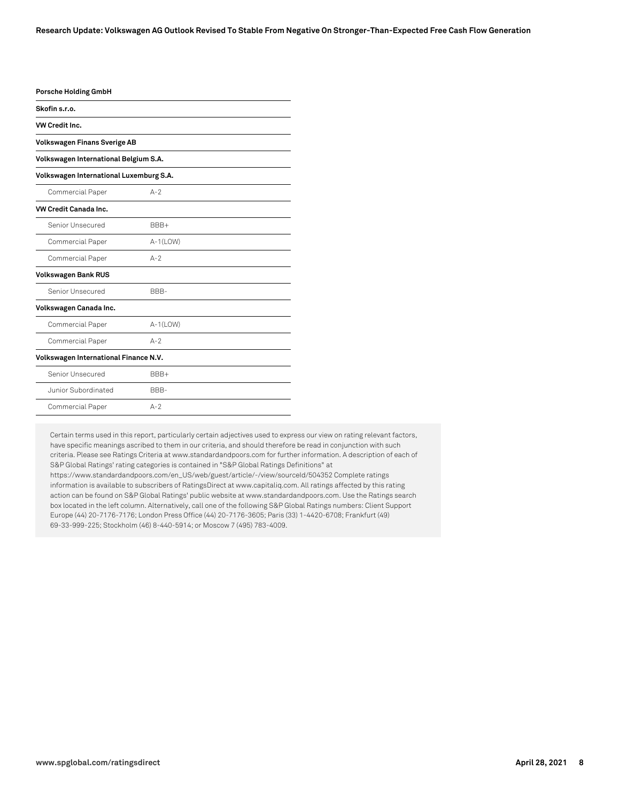| <b>Porsche Holding GmbH</b>                           |             |  |  |  |  |
|-------------------------------------------------------|-------------|--|--|--|--|
| Skofin s.r.o.                                         |             |  |  |  |  |
| VW Credit Inc.<br><b>Volkswagen Finans Sverige AB</b> |             |  |  |  |  |
|                                                       |             |  |  |  |  |
| Volkswagen International Luxemburg S.A.               |             |  |  |  |  |
| Commercial Paper                                      | $A-2$       |  |  |  |  |
| <b>VW Credit Canada Inc.</b>                          |             |  |  |  |  |
| Senior Unsecured                                      | BBB+        |  |  |  |  |
| Commercial Paper                                      | $A-1$ (LOW) |  |  |  |  |
| Commercial Paper                                      | $A-2$       |  |  |  |  |
| <b>Volkswagen Bank RUS</b>                            |             |  |  |  |  |
| Senior Unsecured                                      | BBB-        |  |  |  |  |
| Volkswagen Canada Inc.                                |             |  |  |  |  |
| Commercial Paper                                      | $A-1(LOW)$  |  |  |  |  |
| <b>Commercial Paper</b>                               | $A-2$       |  |  |  |  |
| Volkswagen International Finance N.V.                 |             |  |  |  |  |
| Senior Unsecured                                      | BBB+        |  |  |  |  |
| Junior Subordinated                                   | BBB-        |  |  |  |  |
| Commercial Paper                                      | $A-2$       |  |  |  |  |

Certain terms used in this report, particularly certain adjectives used to express our view on rating relevant factors, have specific meanings ascribed to them in our criteria, and should therefore be read in conjunction with such criteria. Please see Ratings Criteria at www.standardandpoors.com for further information. A description of each of S&P Global Ratings' rating categories is contained in "S&P Global Ratings Definitions" at https://www.standardandpoors.com/en\_US/web/guest/article/-/view/sourceId/504352 Complete ratings information is available to subscribers of RatingsDirect at www.capitaliq.com. All ratings affected by this rating action can be found on S&P Global Ratings' public website at www.standardandpoors.com. Use the Ratings search box located in the left column. Alternatively, call one of the following S&P Global Ratings numbers: Client Support Europe (44) 20-7176-7176; London Press Office (44) 20-7176-3605; Paris (33) 1-4420-6708; Frankfurt (49) 69-33-999-225; Stockholm (46) 8-440-5914; or Moscow 7 (495) 783-4009.